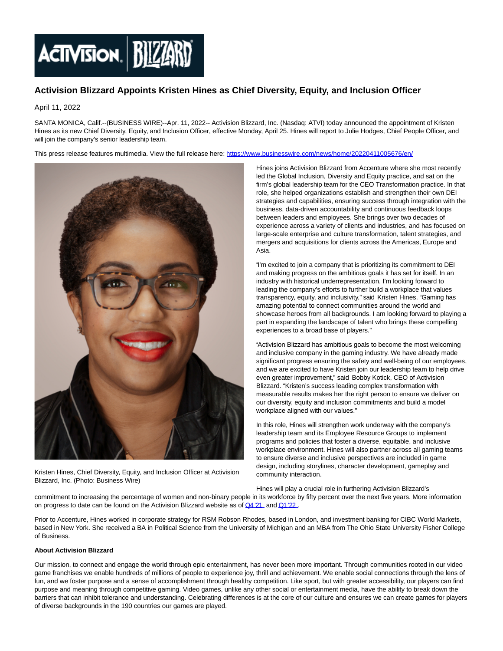

## **Activision Blizzard Appoints Kristen Hines as Chief Diversity, Equity, and Inclusion Officer**

April 11, 2022

SANTA MONICA, Calif.--(BUSINESS WIRE)--Apr. 11, 2022-- Activision Blizzard, Inc. (Nasdaq: ATVI) today announced the appointment of Kristen Hines as its new Chief Diversity, Equity, and Inclusion Officer, effective Monday, April 25. Hines will report to Julie Hodges, Chief People Officer, and will join the company's senior leadership team.

This press release features multimedia. View the full release here:<https://www.businesswire.com/news/home/20220411005676/en/>



Kristen Hines, Chief Diversity, Equity, and Inclusion Officer at Activision Blizzard, Inc. (Photo: Business Wire)

Hines joins Activision Blizzard from Accenture where she most recently led the Global Inclusion, Diversity and Equity practice, and sat on the firm's global leadership team for the CEO Transformation practice. In that role, she helped organizations establish and strengthen their own DEI strategies and capabilities, ensuring success through integration with the business, data-driven accountability and continuous feedback loops between leaders and employees. She brings over two decades of experience across a variety of clients and industries, and has focused on large-scale enterprise and culture transformation, talent strategies, and mergers and acquisitions for clients across the Americas, Europe and Asia.

"I'm excited to join a company that is prioritizing its commitment to DEI and making progress on the ambitious goals it has set for itself. In an industry with historical underrepresentation, I'm looking forward to leading the company's efforts to further build a workplace that values transparency, equity, and inclusivity," said Kristen Hines. "Gaming has amazing potential to connect communities around the world and showcase heroes from all backgrounds. I am looking forward to playing a part in expanding the landscape of talent who brings these compelling experiences to a broad base of players."

"Activision Blizzard has ambitious goals to become the most welcoming and inclusive company in the gaming industry. We have already made significant progress ensuring the safety and well-being of our employees, and we are excited to have Kristen join our leadership team to help drive even greater improvement," said Bobby Kotick, CEO of Activision Blizzard. "Kristen's success leading complex transformation with measurable results makes her the right person to ensure we deliver on our diversity, equity and inclusion commitments and build a model workplace aligned with our values."

In this role, Hines will strengthen work underway with the company's leadership team and its Employee Resource Groups to implement programs and policies that foster a diverse, equitable, and inclusive workplace environment. Hines will also partner across all gaming teams to ensure diverse and inclusive perspectives are included in game design, including storylines, character development, gameplay and community interaction.

Hines will play a crucial role in furthering Activision Blizzard's

commitment to increasing the percentage of women and non-binary people in its workforce by fifty percent over the next five years. More information on progress to date can be found on the Activision Blizzard website as of  $Q4'21$  and  $Q1'22$ .

Prior to Accenture, Hines worked in corporate strategy for RSM Robson Rhodes, based in London, and investment banking for CIBC World Markets, based in New York. She received a BA in Political Science from the University of Michigan and an MBA from The Ohio State University Fisher College of Business.

## **About Activision Blizzard**

Our mission, to connect and engage the world through epic entertainment, has never been more important. Through communities rooted in our video game franchises we enable hundreds of millions of people to experience joy, thrill and achievement. We enable social connections through the lens of fun, and we foster purpose and a sense of accomplishment through healthy competition. Like sport, but with greater accessibility, our players can find purpose and meaning through competitive gaming. Video games, unlike any other social or entertainment media, have the ability to break down the barriers that can inhibit tolerance and understanding. Celebrating differences is at the core of our culture and ensures we can create games for players of diverse backgrounds in the 190 countries our games are played.